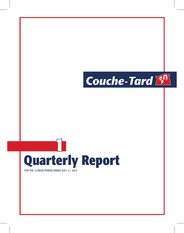

# **Quarterly Report 1**

FOR THE 12-WEEK PERIOD ENDED JULY 21, 2013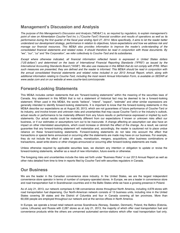# **Management's Discussion and Analysis**

*The purpose of this Management's Discussion and Analysis ("MD&A") is, as required by regulators, to explain management's point of view on Alimentation Couche-Tard Inc.'s ("Couche-Tard") financial condition and results of operations as well as its performance during the first quarter of the fiscal year ending April 27, 2014. More specifically, it aims to let the reader better understand our development strategy, performance in relation to objectives, future expectations and how we address risk and manage our financial resources. This MD&A also provides information to improve the reader's understanding of the consolidated financial statements and related notes. It should therefore be read in conjunction with those documents. By "we", "our", "us" and "the Corporation", we refer collectively to Couche-Tard and its subsidiaries.* 

*Except where otherwise indicated, all financial information reflected herein is expressed in United States dollars ("US dollars") and determined on the basis of International Financial Reporting Standards ("IFRS") as issued by the International Accounting Standards Board ("IASB"). We also use measures in this MD&A that do not comply with IFRS. When such measures are presented, they are defined and the reader is informed. This MD&A should be read in conjunction with the annual consolidated financial statements and related notes included in our 2013 Annual Report, which, along with additional information relating to Couche-Tard, including the most recent Annual Information Form, is available on SEDAR at www.sedar.com and on our website at www.couche-tard.com/corporate.* 

# **Forward-Looking Statements**

This MD&A includes certain statements that are "forward-looking statements" within the meaning of the securities laws of Canada. Any statement in this MD&A that is not a statement of historical fact may be deemed to be a forward-looking statement. When used in this MD&A, the words "believe", "intend", "expect", "estimate" and other similar expressions are generally intended to identify forward-looking statements. It is important to know that the forward-looking statements in this MD&A describe our expectations as at August 30, 2013, which are not guarantees of future performance of Couche-Tard or its industry, and involve known and unknown risks and uncertainties that may cause Couche-Tard's or the industry's outlook, actual results or performance to be materially different from any future results or performance expressed or implied by such statements. Our actual results could be materially different from our expectations if known or unknown risks affect our business, or if our estimates or assumptions turn out to be inaccurate. A change affecting an assumption can also have an impact on other interrelated assumptions, which could increase or diminish the effect of the change. As a result, we cannot guarantee that any forward-looking statement will materialize and, accordingly, the reader is cautioned not to place undue reliance on these forward-looking statements. Forward-looking statements do not take into account the effect that transactions or special items announced or occurring after the statements are made may have on our business. For example, they do not include the effect of sales of assets, monetization, mergers, acquisitions, other business combinations or transactions, asset write-downs or other charges announced or occurring after forward-looking statements are made.

Unless otherwise required by applicable securities laws, we disclaim any intention or obligation to update or revise the forward-looking statements, whether as a result of new information, future events or otherwise.

The foregoing risks and uncertainties include the risks set forth under "Business Risks" in our 2013 Annual Report as well as other risks detailed from time to time in reports filed by Couche-Tard with securities regulators in Canada.

# **Our Business**

We are the leader in the Canadian convenience store industry. In the United States, we are the largest independent convenience store operator in terms of number of company-operated stores. In Europe, we are a leader in convenience store and road transportation fuel in Scandinavian countries and in the Baltic States while we have a growing presence in Poland.

As of July 21, 2013, our network comprises 6,198 convenience stores throughout North America, including 4,678 stores with road transportation fuel dispensing. Our North-American network consists of 13 business units, including nine in the United States covering 39 states and the District of Columbia and four in Canada covering all ten provinces. More than 60,000 people are employed throughout our network and at the service offices in North America.

In Europe, we operate a broad retail network across Scandinavia (Norway, Sweden, Denmark), Poland, the Baltics (Estonia, Latvia, Lithuania) and Russia with 2,287 stores as at July 21, 2013, the majority of which offer road transportation fuel and convenience products while the others are unmanned automated service-stations which offer road transportation fuel only.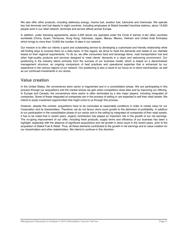We also offer other products, including stationary energy, marine fuel, aviation fuel, lubricants and chemicals. We operate key fuel terminals and fuel depots in eight countries. Including employees at Statoil branded franchise stations, about 18,500 people work in our retail network, terminals and service offices across Europe.

In addition, under licensing agreements, about 4,200 stores are operated under the Circle K banner in ten other countries worldwide (China, Guam, Honduras, Hong Kong, Indonesia, Japan, Macau, Mexico, Vietnam and United Arab Emirates) which brings to more than 12,650 the number of sites in our network.

Our mission is to offer our clients a quick and outstanding service by developing a customized and friendly relationship while still finding ways to surprise them on a daily basis. In this regard, we strive to meet the demands and needs of our clientele based on their regional requirements. To do so, we offer consumers food and beverage items, road transportation fuel and other high-quality products and services designed to meet clients' demands in a clean and welcoming environment. Our positioning in the industry stems primarily from the success of our business model, which is based on a decentralized management structure, an ongoing comparison of best practices and operational expertise that is enhanced by our experience in the various regions of our network. Our positioning is also a result of our focus on in-store merchandise, as well as our continued investments in our stores.

# **Value creation**

In the United States, the convenience store sector is fragmented and in a consolidation phase. We are participating in this process through our acquisitions and the market shares we gain when competitors close sites and by improving our offering. In Europe and Canada, the convenience store sector is often dominated by a few major players, including integrated oil companies. Some of these integrated oil companies are in the process of selling or are expected to sell their retail assets. We intend to study investment opportunities that might come to us through this process.

However, despite this context, acquisitions have to be concluded at reasonable conditions in order to create value for our Corporation and its shareholders. Therefore, we do not favour store count growth to the detriment of profitability. In addition to our participation in the consolidation phase of our sector and in the selling by integrated oil companies of their retail assets, it has to be noted that in recent years, organic contribution has played an important role in the growth of our net earnings. The on-going improvement of our offer, including fresh products, supply terms and efficiency of our business has been a highlight, especially with the absence of significant acquisitions and net growth in store count in the recent years, prior to the acquisition of Statoil Fuel & Retail. Thus, all these elements contributed to the growth in net earnings and to value creation for our shareholders and other stakeholders. We intend to continue in this direction.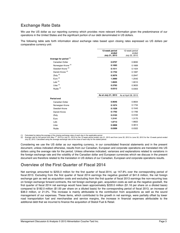# **Exchange Rate Data**

We use the US dollar as our reporting currency which provides more relevant information given the predominance of our operations in the United States and the significant portion of our debt denominated in US dollars.

The following table sets forth information about exchange rates based upon closing rates expressed as US dollars per comparative currency unit:

|                                   | 12-week period<br>ended | 12-week period<br>ended |
|-----------------------------------|-------------------------|-------------------------|
|                                   | July 21, 2013           | July 22, 2012           |
| Average for period <sup>(1)</sup> |                         |                         |
| Canadian Dollar                   | 0.9707                  | 0.9830                  |
| Norwegian Krone <sup>(2)</sup>    | 0.1693                  | 0.1669                  |
| Swedish Krone <sup>(2)</sup>      | 0.1511                  | 0.1424                  |
| Danish Krone <sup>(2)</sup>       | 0.1752                  | 0.1687                  |
| Zloty $^{(2)}$                    | 0.3076                  | 0.2947                  |
| Euro $(2)$                        | 1.3060                  | 1.2542                  |
| Lats $(2)$                        | 1.8625                  | 1.8010                  |
| Litas $(2)$                       | 0.3783                  | 0.3633                  |
| Ruble <sup>(2)</sup>              | 0.0312                  | 0.0303                  |
|                                   |                         |                         |
|                                   |                         |                         |
|                                   | As at July 21, 2013     | As at April 28, 2013    |
| Period end                        |                         |                         |
| <b>Canadian Dollar</b>            | 0.9646                  | 0.9834                  |
| Norwegian Krone                   | 0.1674                  | 0.1734                  |
| Swedish Krone                     | 0.1529                  | 0.1543                  |
| Danish Krone                      | 0.1762                  | 0.1766                  |
| Zloty                             | 0.3103                  | 0.3163                  |
| Euro                              | 1.3141                  | 1.3170                  |
| Lats                              | 1.8713                  | 1.8822                  |
| Litas                             | 0.3808                  | 0.3814                  |
| Ruble                             | 0.0309                  | 0.0322                  |

(1) Calculated by taking the average of the closing exchange rates of each day in the applicable period.

(2) Average rate for the period from May 1<sup>st</sup>, 2013 to July 21, 2013 for the 12-week period ended July 21, 2013 and from June 20, 2012 to June 30, 2012 for the 12-week period ended July 22, 2012. Calculated using the average exchange rate at the close of each day for the stated period.

Considering we use the US dollar as our reporting currency, in our consolidated financial statements and in the present document, unless indicated otherwise, results from our Canadian, European and corporate operations are translated into US dollars using the average rate for the period. Unless otherwise indicated, variances and explanations related to variations in the foreign exchange rate and the volatility of the Canadian dollar and European currencies which we discuss in the present document are therefore related to the translation in US dollars of our Canadian, European and corporate operations results.

# **Overview of the First Quarter of Fiscal 2014**

Net earnings amounted to \$255.0 million for the first quarter of fiscal 2014, up 147.8% over the corresponding period of fiscal 2013. Excluding from the first quarter of fiscal 2014 earnings the negative goodwill of \$41.6 million, the net foreign exchange gain as well as acquisition costs and excluding from the first quarter of fiscal 2013 earnings the non-recurring loss on foreign exchange forward contracts, the net foreign exchange gain, acquisition costs as well as the negative goodwill, the first quarter of fiscal 2014 net earnings would have been approximately \$220.0 million (\$1.16 per share on a diluted basis) compared to \$182.0 million (\$1.00 per share on a diluted basis) for the corresponding period of fiscal 2013, an increase of \$38.0 million, or 21.0%. This increase is mainly attributable to the contribution from acquisitions as well as the sound management of our expenses. These items, which contributed to the growth in net earnings, were partially offset by lower road transportation fuel and merchandise and service margins, the increase in financial expenses attributable to the additional debt that we incurred to finance the acquisition of Statoil Fuel & Retail.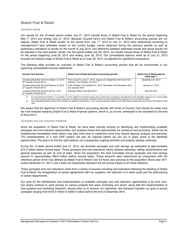# **Statoil Fuel & Retail**

#### *Quarterly results*

Our results for the 12-week period ended July 21, 2013 include those of Statoil Fuel & Retail for the period beginning May 1<sup>st</sup>, 2013 and ending July 21, 2013. Because Couche-Tard's and Statoil Fuel & Retail's accounting periods are not aligned, Statoil Fuel & Retail results for the period from July 1<sup>st</sup>, 2013 to July 21, 2013 were determined according to management's best estimates based on the current budget, trends observed during the previous periods as well as preliminary indications of results for the month of July 2013. Any difference between estimated results and actual results will be reported in the next quarter results. For the period ended July 22, 2012, our results include those of Statoil Fuel & Retail for the period beginning June 20, 2012 and ending June 30, 2012. Our consolidated balance sheet as of July 21, 2013 includes the balance sheet of Statoil Fuel & Retail as of June 30, 2013, as adjusted for significant transactions.

The following table provides an overview of Statoil Fuel & Retail's accounting periods that will be incorporated in our upcoming consolidated financial statements:

| <b>Couche-Tard quarters</b>                                                        | Statoil Fuel & Retail equivalent accounting periods                                                                          | <b>Statoil Fuel &amp; Retail balance</b><br>sheet date (2) |
|------------------------------------------------------------------------------------|------------------------------------------------------------------------------------------------------------------------------|------------------------------------------------------------|
| 12-week period that will end October 13, 2013<br>$(2^{nd}$ quarter of fiscal 2014) | From July 22 to July 31, 2013, August and September 2013 and from October 1 <sup>st</sup> to October 13, 2013 <sup>(1)</sup> | September 30, 2013                                         |
| 16-week period that will end February 2, 2014<br>$(3rd$ quarter of fiscal 2014)    | From October 14 to October 31, 2013, November and December 2013<br>and January 2014                                          | January 31, 2014                                           |
| 12-week period that will end April 27, 2014<br>$(4th$ quarter of fiscal 2014)      | February, March and April 2014                                                                                               | April 30, 2014                                             |

(1) For the period from October 1<sup>st</sup> to October 13, 2013, Statoil Fuel & Retail results will be determined according to management's best estimates based on the current budget<br>and trends observed during the previous perio

(2) The consolidated balance sheet will be adjusted for significant transactions, if any, occurring between Statoil Fuel & Retail balance sheet date and Couche-Tard balance sheet date.

We expect that the alignment of Statoil Fuel & Retail's accounting periods with those of Couche-Tard should be made once we have finalized replacing Statoil Fuel & Retail financial systems, which is, as of now, scheduled to be completed by the end of fiscal 2014.

#### *Synergies and cost reduction initiatives*

Since the acquisition of Statoil Fuel & Retail, we have been actively working on identifying and implementing available synergies and cost reduction opportunities. Our analysis shows that opportunities are numerous and promising. Some can be implemented immediately while others may take more time to implement since they require rigorous analysis and planning. The implementation of a new ERP system will also be required before we can put in place some of the identified opportunities. The goal is to find the right balance not to jeopardize ongoing activities and projects already underway.

During the 12-week period ended July 21, 2013, we recorded synergies and cost savings we estimated at approximately \$10.0 million before income taxes. These synergies and cost reductions mainly reduced operating, selling, administrative and general expenses as well as cost of sales. Since the acquisition, the total cumulated annual synergies and cost savings amount to approximately \$38.0 million before income taxes. These amounts were determined by comparison with the reference period which was defined as Statoil Fuel & Retail's last full fiscal year previous to the acquisition (fiscal year 2011 ended December 31, 2011), but it does not necessarily represent the full annual impact of all these initiatives.

These synergies and cost reductions came from a variety of sources including cost reductions following the delisting of Statoil Fuel & Retail, the renegotiation of certain agreements with our suppliers, the reduction of in-store costs and the restructuring of certain departments.

Our work for the identification and implementation of available synergies and cost reduction opportunities is far from over. Our teams continue to work actively on various projects that seem promising and which, along with the implementation of new systems and marketing initiatives, should allow us to achieve our objectives. We therefore maintain our goal of annual synergies ranging from \$150.0 million to \$200.0 million before the end of December 2015.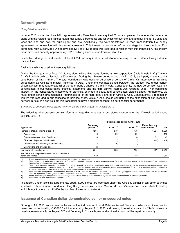# **Network growth**

#### *Completed transactions*

In June 2013, under the June 2011 agreement with ExxonMobil, we acquired 60 stores operated by independent operators along with the related road transportation fuel supply agreements and for which we own the land and building for 59 sites and lease the land and own the building for one site. Additionally, we were transferred 50 road transportation fuel supply agreements in connection with this same agreement. This transaction consisted of the last stage to close the June 2011 agreement with ExxonMobil. A negative goodwill of \$41.6 million was recorded in relation with this transaction. Historically, those sites sold annually approximately 162.0 million gallons of road transportation fuel.

In addition, during the first quarter of fiscal 2014, we acquired three additional company-operated stores through distinct transactions.

#### Available cash was used for these acquisitions.

During the first quarter of fiscal 2014, we, along with a third-party, formed a new corporation, Circle K Asia LLC ("Circle K Asia"), in which both parties hold a 50% interest. During the 12-week period ended July 21, 2013, each party made a capital contribution of \$13.1 million. The total contribution was used to purchase a portion of Circle K's international franchise agreements as well as a master franchise in Asia. Under the contract signed between the parties, we, under certain circumstances, may repurchase all of the other party's shares in Circle K Asia. Consequently, the new corporation was fully consolidated in our consolidated financial statements and the third party's interest was recorded under "Non-controlling interest" in the consolidated statements of earnings, changes in equity and consolidated balance sheet. Furthermore, we must, under certain circumstances, repurchase all of the third-party's shares in Circle K Asia. Consequently, a redemption liability was recorded in our consolidated balance sheet. Circle K Asia should contribute to the expansion of our licensee's network in Asia. We don't expect this transaction to have a significant impact on our financial performance.

#### *Summary of changes in our stores network during the first quarter of fiscal 2014*

The following table presents certain information regarding changes in our stores network over the 12-week period ended July 21, 2013 $(1)$ :

|                                                                                           | 12-week period ended July 21, 2013  |                     |            |                                               |       |  |  |
|-------------------------------------------------------------------------------------------|-------------------------------------|---------------------|------------|-----------------------------------------------|-------|--|--|
| Type of site                                                                              | Company-<br>operated <sup>(2)</sup> | $\text{CODO}^{(3)}$ | DODO $(4)$ | <b>Franchised and</b><br>other affiliated (5) | Total |  |  |
| Number of sites, beginning of period                                                      | 6.235                               | 579                 | 478        | 1.094                                         | 8,386 |  |  |
| Acquisitions                                                                              | 3                                   | 60                  | 50         |                                               | 113   |  |  |
| Openings / constructions / additions                                                      | 4                                   | 2                   | 8          | 31                                            | 45    |  |  |
| Closures / disposals / withdrawals                                                        | (37)                                | (1)                 | (3)        | (18)                                          | (59)  |  |  |
| Conversions into company-operated stores                                                  | 8                                   | (6)                 | (2)        |                                               |       |  |  |
| Conversions into affiliated stores                                                        | (2)                                 |                     |            |                                               |       |  |  |
| Number of sites, end of period                                                            | 6.211                               | 635                 | 532        | 1.107                                         | 8,485 |  |  |
| Number of automated service stations included in the<br>period end figures <sup>(6)</sup> | 919                                 |                     | 33         |                                               | 952   |  |  |

(1) These figures include 50% of the stores operated through RDK, a joint venture.

Sites for which the real estate is controlled by Couche-Tard (through ownership or lease agreements) and for which the stores (and/or the service-stations) are operated by Couche-Tard or one of its commission agent.

(3) Sites for which the real estate is controlled by Couche-Tard (through ownership or lease agreements) and for which the stores (and/or the service-stations) are operated by an independent operator in exchange for rent and to which Couche-Tard supplies road transportation fuel though supply contracts. Some of these sites are subject to a franchise agreement, licensing or other similar agreement under one of our main or secondary banners.

(4) Sites controlled and operated by independent operators to which Couche-Tard supplies road transportation fuel through supply contracts. Some of these sites are subject to a franchise agreement, licensing or other similar agreement under one of our main or secondary banners.

(5) Stores operated by an independent operator through a franchising, licensing or another similar agreement under one of our main or secondary banners.<br>(6) These sites sell road transportation fuel only.

These sites sell road transportation fuel only.

In addition, under licensing agreements, about 4,200 stores are operated under the Circle K banner in ten other countries worldwide (China, Guam, Honduras, Hong Kong, Indonesia, Japan, Macau, Mexico, Vietnam and United Arab Emirates) which brings to more than 12,650 the number of sites in our network.

# **Issuance of Canadian dollar denominated senior unsecured notes**

On August 21, 2013, subsequent to the end of the first quarter of fiscal 2014, we issued Canadian dollar denominated senior unsecured notes totalling CA\$300.0 million, maturing August 21<sup>st</sup>, 2020 and bearing interest at a rate of 4.214%. Interest is payable semi-annually on August 21<sup>st</sup> and February  $21^{st}$  of each year and notional amount will be repaid at maturity.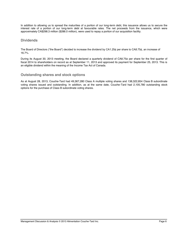In addition to allowing us to spread the maturities of a portion of our long-term debt, this issuance allows us to secure the interest rate of a portion of our long-term debt at favourable rates. The net proceeds from the issuance, which were approximately CA\$298.3 million (\$286.0 million), were used to repay a portion of our acquisition facility.

# **Dividends**

The Board of Directors ("the Board") decided to increase the dividend by CA1.25¢ per share to CA8.75¢, an increase of 16.7%.

During its August 30, 2013 meeting, the Board declared a quarterly dividend of CA8.75¢ per share for the first quarter of fiscal 2014 to shareholders on record as at September 11, 2013 and approved its payment for September 25, 2013. This is an eligible dividend within the meaning of the Income Tax Act of Canada.

# **Outstanding shares and stock options**

As at August 28, 2013, Couche-Tard had 49,367,280 Class A multiple voting shares and 138,322,854 Class B subordinate voting shares issued and outstanding. In addition, as at the same date, Couche-Tard had 2,105,780 outstanding stock options for the purchase of Class B subordinate voting shares.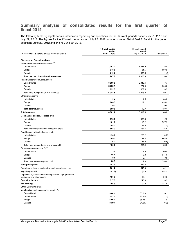# **Summary analysis of consolidated results for the first quarter of fiscal 2014**

The following table highlights certain information regarding our operations for the 12-week periods ended July 21, 2013 and July 22, 2012. The figures for the 12-week period ended July 22, 2012 include those of Statoil Fuel & Retail for the period beginning June 20, 2012 and ending June 30, 2012.

|                                                                                         | 12-week period<br>ended | 12-week period<br>ended |              |
|-----------------------------------------------------------------------------------------|-------------------------|-------------------------|--------------|
| (In millions of US dollars, unless otherwise stated)                                    | July 21, 2013           | July 22, 2012           | Variation %  |
| <b>Statement of Operations Data:</b>                                                    |                         |                         |              |
| Merchandise and service revenues (1):                                                   |                         |                         |              |
| <b>United States</b>                                                                    | 1,153.7                 | 1,088.9                 | 6.0          |
| Europe                                                                                  | 248.5                   | 31.5                    | 688.9        |
| Canada                                                                                  | 545.5                   | 553.5                   | (1.4)        |
| Total merchandise and service revenues                                                  | 1,947.7                 | 1,673.9                 | 16.4         |
|                                                                                         |                         |                         |              |
| Road transportation fuel revenues:<br><b>United States</b>                              | 3,599.9                 | 3,343.4                 | 7.7          |
|                                                                                         | 2,052.1                 | 221.8                   | 825.2        |
| Europe<br>Canada                                                                        | 692.5                   | 662.8                   | 4.5          |
|                                                                                         | 6,344.5                 |                         | 50.1         |
| Total road transportation fuel revenues<br>Other revenues $(2)$ :                       |                         | 4,228.0                 |              |
| <b>United States</b>                                                                    | 2.4                     |                         |              |
|                                                                                         | 606.5                   | 1.5                     | 60.0         |
| Europe<br>Canada                                                                        | 0.1                     | 109.1<br>0.1            | 455.9<br>0.0 |
|                                                                                         | 609.0                   |                         |              |
| Total other revenues                                                                    |                         | 110.7                   | 450.1        |
| <b>Total revenues</b>                                                                   | 8,901.2                 | 6,012.6                 | 48.0         |
| Merchandise and service gross profit <sup>(1)</sup> :                                   |                         |                         |              |
| <b>United States</b>                                                                    | 372.0                   | 362.9                   | 2.5          |
| Europe                                                                                  | 101.0                   | 12.2                    | 727.9        |
| Canada                                                                                  | 185.3                   | 189.6                   | (2.3)        |
| Total merchandise and service gross profit                                              | 658.3                   | 564.7                   | 16.6         |
| Road transportation fuel gross profit:                                                  |                         |                         |              |
| <b>United States</b>                                                                    | 190.0                   | 220.2                   | (13.7)       |
| Europe                                                                                  | 209.1                   | 27.2                    | 668.8        |
| Canada                                                                                  | 36.7                    | 37.0                    | (0.8)        |
| Total road transportation fuel gross profit                                             | 435.8                   | 284.4                   | 53.2         |
| Other revenues gross profit <sup>(2)</sup> :                                            |                         |                         |              |
| <b>United States</b>                                                                    | 2.4                     | 1.5                     | 60.0         |
| Europe                                                                                  | 86.4                    | 8.3                     | 941.0        |
| Canada                                                                                  | 0.1                     | 0.1                     | 0.0          |
| Total other revenues gross profit                                                       | 88.9                    | 9.9                     | 798.0        |
| <b>Total gross profit</b>                                                               | 1,183.0                 | 859.0                   | 37.7         |
| Operating, selling, administrative and general expenses                                 | 781.2                   | 549.9                   | 42.1         |
| Negative goodwill                                                                       | (41.6)                  | (0.9)                   | 452.2        |
| Depreciation, amortization and impairment of property and<br>equipment and other assets | 125.9                   | 66.1                    | 90.5         |
| <b>Operating income</b>                                                                 | 317.5                   | 243.9                   | 13.5         |
| Net earnings                                                                            | 255.0                   | 102.9                   | 147.8        |
| <b>Other Operating Data:</b>                                                            |                         |                         |              |
| Merchandise and service gross margin (1):                                               |                         |                         |              |
| Consolidated                                                                            | 33.8%                   | 33.7%                   | 0.1          |
| <b>United States</b>                                                                    | 32.2%                   | 33.3%                   | (1.1)        |
| Europe                                                                                  | 40.6%                   | 38.7%                   | 1.9          |
| Canada                                                                                  | 34.0%                   | 34.3%                   | (0.3)        |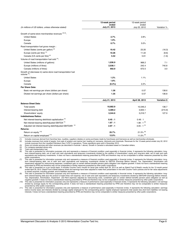|                                                                               | 12-week period         | 12-week period          |              |
|-------------------------------------------------------------------------------|------------------------|-------------------------|--------------|
| (In millions of US dollars, unless otherwise stated)                          | ended<br>July 21, 2013 | ended<br>July 22, 2012  | Variation %  |
| Growth of same-store merchandise revenues (3) (4):                            |                        |                         |              |
| <b>United States</b>                                                          | 2.7%                   | 2.8%                    |              |
| Europe                                                                        | 1.9%                   |                         |              |
| Canada                                                                        | 0.7%                   | 5.0%                    |              |
| Road transportation fuel gross margin :                                       |                        |                         |              |
| United States (cents per gallon) <sup>(4)</sup>                               | 19.42                  | 23.20                   | (16.3)       |
| Europe (cents per litre) <sup>(5)</sup>                                       | 10.26                  | 11.22                   | (8.6)        |
| Canada (CA cents per litre) <sup>(4)</sup>                                    | 5.52                   | 5.61                    | (1.6)        |
| Volume of road transportation fuel sold (5):                                  |                        |                         |              |
| United States (millions of gallons)                                           | 1,036.9                | 968.2                   | 7.1          |
| Europe (millions of litres)                                                   | 2,038.1                | 242.4                   | 740.8        |
| Canada (millions of litres)                                                   | 692.9                  | 672.5                   | 3.0          |
| Growth of (decrease in) same-store road transportation fuel<br>volume $(4)$ : |                        |                         |              |
| <b>United States</b>                                                          | 1.2%                   | 1.1%                    |              |
| Europe                                                                        | 1.8%                   |                         |              |
| Canada                                                                        | (0.4% )                | 2.2%                    |              |
| Per Share Data:                                                               |                        |                         |              |
| Basic net earnings per share (dollars per share)                              | 1.36                   | 0.57                    | 138.6        |
| Diluted net earnings per share (dollars per share)                            | 1.35                   | 0.57                    | 136.8        |
|                                                                               | July 21, 2013          | April 28, 2013          | Variation \$ |
| <b>Balance Sheet Data:</b>                                                    |                        |                         |              |
| <b>Total assets</b>                                                           | 10,682.9               | 10,546.2                | 136.7        |
| Interest-bearing debt                                                         | 3,389.2                | 3,605.1                 | (215.9)      |
| Shareholders' equity                                                          | 3,344.6                | 3,216.7                 | 127.9        |
| <b>Indebtedness Ratios:</b>                                                   |                        |                         |              |
| Net interest-bearing debt/total capitalization <sup>(6)</sup>                 | 0.45:1                 | 0.48:1                  |              |
| Net interest-bearing debt/Adjusted EBITDA <sup>(7)</sup>                      | 1.87:1                 | $1.98:1^{(8)}$          |              |
| Adjusted net interest bearing debt/Adjusted EBITDAR <sup>(9)</sup>            | 2.97:1                 | $3.05:1^{(8)}$          |              |
| Returns:                                                                      |                        |                         |              |
| Return on equity (10)                                                         | 25.7%                  | $21.5\%$ <sup>(8)</sup> |              |
| Return on capital employed (11)                                               | 12.0%                  | $11.0\%$ <sup>(8)</sup> |              |

(1) Includes revenues derived from franchise fees, royalties, suppliers rebates on some purchases made by franchisees and licensees as well as merchandise wholesale.<br>(2) Includes revenues from rental of assets, from sale o (2) Includes revenues from rental of assets, from sale of aviation and marine fuel, heating oil, kerosene, lubricants and chemicals. Revenues for the 12-week period ended July 22, 2012<br>include revenues from the Liquefied P

The services and other revenues (as described in footnote 1 above). Growth in Canada is calculated based on Canadian dollars.<br>(3) Does not include services and other revenues (as described in footnote 1 above). Growth in C

For company-operated stores only.

(5) Total road transportation fuel.

This ratio is presented for information purposes only and represents a measure of financial condition used especially in financial circles. It represents the following calculation: longterm interest-bearing debt, net of cash and cash equivalents and temporary investments divided by the addition of shareholders' equity and long-term debt, net of cash and cash<br>equivalents and temporary investments. It does

public corporations.<br>This ratio is presented for information purposes only and represents a measure of financial condition used especially in financial circles. It represents the following calculation: long-<br>term interest-

prescribed by IFRS and therefore may not be comparable to similar measures presented by other public corporations.<br>(8) This ratio is presented on a pro forma basis. It includes Couche-Tard's results for the 12-month period to assets acquired, including goodwill, and to liabilities assumed.

-9) This ratio is presented for information purposes only and represents a measure of financial condition used especially in financial circles. It represents the following calculation: long-<br>term interest-bearing debt plus Tax, Depreciation, Amortization, Impairment and Rent expense) adjusted for restructuring costs, curtailment gain on certain defined benefits pension plans obligation as well as

negative goodwill. It does not have a standardized meaning prescribed by IFRS and therefore may not be comparable to similar measures presented by other public corporations.<br>(10) This ratio is presented for information pur

divided by average equity for the corresponding period. It does not have a standardized meaning prescribed by IFRS and therefore may not be comparable to similar measures<br>This ratio is presented for information purposes on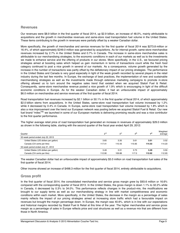# **Revenues**

Our revenues were \$8.9 billion in the first quarter of fiscal 2014, up \$2.9 billion, an increase of 48.0%, mainly attributable to acquisitions and the growth in merchandise revenues and same-store road transportation fuel volume in the United States. These items contributing to the growth in revenues were partially offset by a weaker Canadian dollar.

More specifically, the growth of merchandise and service revenues for the first quarter of fiscal 2014 was \$273.8 million or 16.4%, of which approximately \$249.0 million was generated by acquisitions. As for internal growth, same-store merchandise revenues increased by 2.7% in the United States and 0.7% in Canada. The increase in same-store merchandise sales is attributable to our merchandising strategies, to the economic conditions in each of our markets as well as to the investments we made to enhance service and the offering of products in our stores. More specifically, in the U.S., we favoured pricing strategies aimed at boosting sales which helped us gain momentum in terms of transactions count while the fresh food category continued to post a nice growth in several of our markets. As a consequence, volume growth generated by the increase in the number of transactions was partly offset by the deflationary impact of our pricing strategies. The performance in the United States and Canada is very good especially in light of the weak growth recorded by several players in the retail industry during the last few months. In Europe, the exchange of best practices, the implementation of new and sustainable merchandising strategies as well as the investments made through extensive marketing campaigns to promote in-store offering allowed us to turn around the negative sales trend that existed when we acquired Statoil Fuel & Retail. Consequently, same-store merchandise revenue posted a nice growth of 1.9% which is encouraging in light of the difficult economic conditions in Europe. As for the weaker Canadian dollar, it had an unfavourable impact of approximately \$6.0 million on merchandise and service revenues of the first quarter of fiscal 2014.

Road transportation fuel revenues increased by \$2.1 billion or 50.1% in the first quarter of fiscal 2014, of which approximately \$2.0 billion stems from acquisitions. In the United States, same-store road transportation fuel volume increased by 1.2% while it decreased by 0.4% in Canada. In Europe, same-store road transportation fuel volume increased by 1.8% which is also a nice improvement over the trend our European network was posting before we acquired Statoil Fuel & Retail. Our new fuel brand "miles<sup>TM</sup>" we launched in some of our European markets is delivering promising results and was a nice contributor to the first quarter performance.

The higher average retail price of road transportation fuel generated an increase in revenues of approximately \$29.0 million as shown in the following table, starting with the second quarter of the fiscal year ended April 29, 2012:

| Quarter                               | 2 <sup>nd</sup> | rd <sub>م</sub> | 4 <sup>th</sup> | ⊣st    | Weighted<br>average |
|---------------------------------------|-----------------|-----------------|-----------------|--------|---------------------|
| 52-week period ended July 22, 2013    |                 |                 |                 |        |                     |
| United States (US dollars per gallon) | 3.65            | 3.35            | 3.61            | 3.51   | 3.52                |
| Canada (CA cents per litre)           | 117.41          | 110.43          | 115.65          | 114.53 | 114.23              |
| 53-week period ended July 21, 2012    |                 |                 |                 |        |                     |
| United States (US dollars per gallon) | 3.49            | 3.31            | 3.73            | 3.49   | 3.50                |
| Canada (CA cents per litre)           | 112.90          | 109.88          | 117.0           | 112.62 | 112.93              |

The weaker Canadian dollar had an unfavourable impact of approximately \$5.0 million on road transportation fuel sales of the first quarter of fiscal 2014.

Other income showed an increase of \$498.3 million for the first quarter of fiscal 2014, entirely attributable to acquisitions.

# **Gross profit**

In the first quarter of fiscal 2014, the consolidated merchandise and service gross margin grew by \$93.6 million or 16.6% compared with the corresponding quarter of fiscal 2013. In the United States, the gross margin is down 1.1% to 32.2% while in Canada, it decreased by 0.3% to 34.0%. This performance reflects changes in the product-mix, the modifications we brought to our supply terms as well as our merchandising strategy in line with market competitiveness and economic conditions within each market. More specifically, in the United States, the decrease in the margin as a percentage of sales mainly reflects the impact of our pricing strategies aimed at increasing store traffic which had a favourable impact on revenues but brought the margin percentage down. In Europe, the margin was 40.6%, which is in line with our expectations and historical margins recorded by Statoil Fuel & Retail at this time of the year. The higher merchandise and service gross margin as a percentage of sales in Europe reflects price and cost structures as well as a revenue mix that are different from those in North America.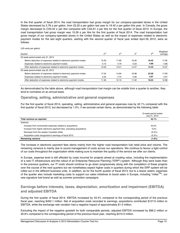In the first quarter of fiscal 2014, the road transportation fuel gross margin for our company-operated stores in the United States decreased by 3.78 ¢ per gallon, from 23.20 ¢ per gallon last year to 19.42 ¢ per gallon this year. In Canada, the gross margin decreased to CA5.52  $\varphi$  per litre compared with CA5.61  $\varphi$  per litre for the first quarter of fiscal 2013. In Europe, the road transportation fuel gross margin was 10.26  $\varphi$  per litre for the first quarter of fiscal 2014. The road transportation fuel gross margin of our company-operated stores in the United States as well as the impact of expenses related to electronic payment modes for the last eight quarters, starting with the second quarter of fiscal year ended April 29, 2012, were as follows:

#### (US cents per gallon)

| Quarter                                                          | 2 <sup>nd</sup> | 3 <sup>rd</sup> | 4 <sup>th</sup> | ⊣st   | Weighted<br>average |
|------------------------------------------------------------------|-----------------|-----------------|-----------------|-------|---------------------|
| 52-week period ended July 21, 2013                               |                 |                 |                 |       |                     |
| Before deduction of expenses related to electronic payment modes | 15.20           | 17.80           | 19.30           | 19.42 | 17.95               |
| Expenses related to electronic payment modes                     | 5.15            | 4.79            | 5.03            | 4.99  | 4.98                |
| After deduction of expenses related to electronic payment modes  | 10.05           | 13.01           | 14.27           | 14.43 | 12.97               |
| 53-week period ended July 22, 2012                               |                 |                 |                 |       |                     |
| Before deduction of expenses related to electronic payment modes | 17.04           | 14.84           | 16.98           | 23.20 | 17.83               |
| Expenses related to electronic payment modes                     | 5.20            | 4.74            | 5.06            | 4.97  | 4.97                |
| After deduction of expenses related to electronic payment modes  | 11.84           | 10.10           | 11.92           | 18.23 | 12.86               |

As demonstrated by the table above, although road transportation fuel margin can be volatile from a quarter to another, they tend to normalize on an annual basis.

# **Operating, selling, administrative and general expenses**

For the first quarter of fiscal 2014, operating, selling, administrative and general expenses rose by 42.1% compared with the first quarter of fiscal 2013, but decreased by 1.0%, if we exclude certain items, as demonstrated by the following table:

|                                                                      | 12-week period ended<br>July 21, 2013 |
|----------------------------------------------------------------------|---------------------------------------|
| Total variance as reported                                           | 42.1%                                 |
| Subtract:                                                            |                                       |
| Increase from incremental expenses related to acquisitions           | 43.2%                                 |
| Increase from higher electronic payment fees, excluding acquisitions | 0.5%                                  |
| Decrease from the weaker Canadian dollar                             | $(0.3\%)$                             |
| Acquisition costs recognized to earnings of fiscal 2013              | $(0.3\%)$                             |
| <b>Remaining variance</b>                                            | (1.0%)                                |

The increase in electronic payment fees stems mainly from the higher road transportation fuel retail price and volume. The remaining variance is mainly due to sound management of costs across our operations. We continue to favour a tight control of our costs throughout the organization while making sure to maintain the quality of the service we offer our clients.

In Europe, expense level is still affected by costs incurred for projects aimed at creating value, including the implementation of a new IT infrastructure and the rollout of an Enterprise Resource Planning ("ERP") system. Although they were lower than in the previous quarters, our IT costs should continue to go down progressively along with the completion of these projects over the course of the next quarters but we nonetheless expect higher costs in quarters during which the ERP system will be rolled out in the different business units. In addition, as for the fourth quarter of fiscal 2013, but to a lesser extent, expenses of the quarter also include marketing costs to support our sales initiatives to boost sales in Europe, including "miles<sup>TM</sup>", our new signature fuel brand as well as summer promotion campaigns.

# **Earnings before interests, taxes, depreciation, amortization and impairment (EBITDA) and adjusted EBITDA**

During the first quarter of fiscal 2014, EBITDA increased by 43.4% compared to the corresponding period of the previous fiscal year, reaching \$452.1 million. Net of acquisition costs recorded to earnings, acquisitions contributed \$127.6 million to EBITDA, while the exchange rate variation had a negative impact of approximately \$1.0 million.

Excluding the impact of the negative goodwill for both comparable periods, adjusted EBITDA increased by \$96.2 million or 30.6% compared to the corresponding period of the previous fiscal year, reaching \$410.5 million.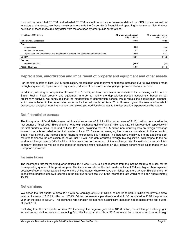It should be noted that EBITDA and adjusted EBITDA are not performance measures defined by IFRS, but we, as well as investors and analysts, use these measures to evaluate the Corporation's financial and operating performance. Note that our definition of these measures may differ from the one used by other public corporations:

| (in millions of US dollars)                                                             | 12-week period ended<br>July 21, 2013 | 12-week period ended<br>July 22, 2012 |
|-----------------------------------------------------------------------------------------|---------------------------------------|---------------------------------------|
| Net earnings, as reported                                                               | 255.0                                 | 102.9                                 |
| Add:                                                                                    |                                       |                                       |
| Income taxes                                                                            | 59.5                                  | 24.4                                  |
| Net financial expenses                                                                  | 11.7                                  | 121.8                                 |
| Depreciation and amortization and impairment of property and equipment and other assets | 125.9                                 | 66.1                                  |
| <b>EBITDA</b>                                                                           | 452.1                                 | 315.2                                 |
| Remove:                                                                                 |                                       |                                       |
| Negative goodwill                                                                       | (41.6)                                | (0.9)                                 |
| <b>Adjusted EBITDA</b>                                                                  | 410.5                                 | 314.3                                 |

# **Depreciation, amortization and impairment of property and equipment and other assets**

For the first quarter of fiscal 2014, depreciation, amortization and impairment expense increased due to investments made through acquisitions, replacement of equipment, addition of new stores and ongoing improvement of our network.

In addition, following the acquisition of Statoil Fuel & Retail, we have undertaken an analysis of the remaining useful lives of Statoil Fuel & Retail property and equipment in order to modify the depreciation periods accordingly. Based on our preliminary analysis, we concluded that the modification of depreciation periods would reduce the depreciation expense, which was reflected in the depreciation expense for the first quarter of fiscal 2014. However, given the volume of assets to process, our analytical work has not been completed yet. Additional changes to the depreciation expense could be made.

# **Net financial expenses**

The first quarter of fiscal 2014 shows net financial expenses of \$11.7 million, a decrease of \$110.1 million compared to the first quarter of fiscal 2013. Excluding the net foreign exchange gains of \$13.2 million and \$6.2 million recorded respectively in the first quarter of fiscal 2014 and of fiscal 2013 and excluding the \$113.5 million non-recurring loss on foreign exchange forward contracts recorded in the first quarter of fiscal 2013 aimed at managing the currency risk related to the acquisition Statoil Fuel & Retail, the increase in net financing expenses is \$10.4 million. The increase is mainly due to the additional debt required to finance the acquisition of Statoil Fuel & Retail and debt assumed through this acquisition. With respect to the net foreign exchange gain of \$13.2 million, it is mainly due to the impact of the exchange rate fluctuations on certain intercompany balances as well as to the impact of exchange rates fluctuations on U.S. dollars denominated sales made by our European operations.

## **Income taxes**

The income tax rate for the first quarter of fiscal 2014 was 18.9%, a slight decrease from the income tax rate of 19.2% for the corresponding quarter of the previous year. The income tax rate for the first quarter of fiscal 2014 was higher than expected because of overall higher taxable income in the United States where we have our highest statutory tax rate. Excluding the net impact from negative goodwill recorded in the first quarter of fiscal 2014, the income tax rate would have been approximately 15.9%.

# **Net earnings**

We closed the first quarter of fiscal 2014 with net earnings of \$255.0 million, compared to \$102.9 million the previous fiscal year, an increase of \$152.1 million or 147.8%. Diluted net earnings per share stood at \$1.35 compared to \$0.57 the previous year, an increase of 137.8%. The exchange rate variation did not have a significant impact on net earnings of the first quarter of fiscal 2014.

Excluding from the first quarter of fiscal 2014 earnings the negative goodwill of \$41.6 million, the net foreign exchange gain as well as acquisition costs and excluding from the first quarter of fiscal 2013 earnings the non-recurring loss on foreign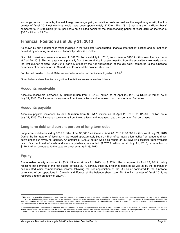exchange forward contracts, the net foreign exchange gain, acquisition costs as well as the negative goodwill, the first quarter of fiscal 2014 net earnings would have been approximately \$220.0 million (\$1.16 per share on a diluted basis) compared to \$182.0 million (\$1.00 per share on a diluted basis) for the corresponding period of fiscal 2013, an increase of \$38.0 million, or 21.0%.

# **Financial Position as at July 21, 2013**

As shown by our indebtedness ratios included in the "Selected Consolidated Financial Information" section and our net cash provided by operating activities, our financial position is excellent.

Our total consolidated assets amounted to \$10.7 billion as at July 21, 2013, an increase of \$136.7 million over the balance as at April 28, 2013. This increase stems primarily from the overall rise in assets resulting from the acquisitions we made during the first quarter of fiscal year 2014, partially offset by the net appreciation of the US dollar compared to the functional currencies of our operations in Canada and Europe at the balance sheet date.

For the first quarter of fiscal 2014, we recorded a return on capital employed of 12.0% $^1$ .

Other balance sheet line items significant variations are explained as follows:

# **Accounts receivable**

Accounts receivable increased by \$213.2 million from \$1,616.0 million as at April 28, 2013 to \$1,829.2 million as at July 21, 2013. The increase mainly stems from timing effects and increased road transportation fuel sales.

# **Accounts payable**

Accounts payable increased by \$218.3 million from \$2,351.1 million as at April 28, 2013 to \$2,569.3 million as at July 21, 2013. The increase mainly stems from timing effects and increased road transportation fuel purchases.

# **Long term debt and current portion of long term debt**

Long-term debt decreased by \$215.9 million from \$3,605.1 million as at April 28, 2013 to \$3,389.2 million as at July 21, 2013. During the first quarter of fiscal 2014, we repaid approximately \$603.0 million of our acquisition facility from amounts drawn down under our revolving facilities. An amount of \$200.0 million was also repaid on our revolving facilities from available cash. Our debt, net of cash and cash equivalents, amounted \$2,767.5 million as at July 21, 2013, a reduction of \$179.2 million compared to the balance sheet as at April 28, 2013.

# **Equity**

 $\overline{a}$ 

Shareholders' equity amounted to \$3.3 billion as at July 21, 2013, up \$127.9 million compared to April 28, 2013, mainly reflecting net earnings of the first quarter of fiscal 2014, partially offset by dividends declared as well as by the decrease in accumulated other comprehensive income following the net appreciation of the US dollar compared to the functional currencies of our operations in Canada and Europe at the balance sheet date. For the first quarter of fiscal 2014, we recorded a return on equity of 25.7%  $2$ .

<sup>1</sup> This ratio is presented for information purposes only and represents a measure of performance used especially in financial circles. It represents the following calculation: earnings before income taxes and interests divided by average capital employed. Capital employed represents total assets less short-term liabilities not bearing interests. It does not have a standardized<br>meaning prescribed by IFRS and the year ended April 27, 2014 and the last three quarters of fiscal year ended April 28, 2013.

<sup>2</sup> This ratio is presented for information purposes only and represents a measure of performance used especially in financial circles. It represents the following calculation: net earnings divided by average equity. It does not have a standardized meaning prescribed by IFRS and therefore may not be comparable to similar measures presented by other public corporations. It includes Couche-Tard's results for the first quarter of fiscal year ended April 27, 2014 and the last three quarters of fiscal year ended April 28, 2013.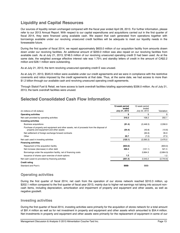# **Liquidity and Capital Resources**

Our sources of liquidity remain unchanged compared with the fiscal year ended April 28, 2013. For further information, please refer to our 2013 Annual Report. With respect to our capital expenditures and acquisitions carried out in the first quarter of fiscal 2014, they were financed using available cash. We expect that cash generated from operations together with borrowings available under our revolving unsecured credit facilities will be adequate to meet our liquidity needs in the foreseeable future.

During the first quarter of fiscal 2014, we repaid approximately \$603.0 million of our acquisition facility from amounts drawn down under our revolving facilities. An additional amount of \$200.0 million was also repaid on our revolving facilities from available cash. As at July 21, 2013, \$748.5 million of our revolving unsecured operating credit D had been used. As at the same date, the weighted average effective interest rate was 1.75% and standby letters of credit in the amount of CA\$2.2 million and \$28.1 million were outstanding.

As at July 21, 2013, the term revolving unsecured operating credit E was unused.

As at July 21, 2013, \$545.9 million were available under our credit agreements and we were in compliance with the restrictive covenants and ratios imposed by the credit agreements at that date. Thus, at the same date, we had access to more than \$1.2 billion through our available cash and revolving unsecured operating credit agreements.

Through Statoil Fuel & Retail, we have access to bank overdraft facilities totalling approximately \$336.0 million. As of July 21, 2013, the bank overdraft facilities were unused.

# **Selected Consolidated Cash Flow Information**

|                                                                                                                                      | 12-week period<br>ended | 12-week period<br>ended |           |
|--------------------------------------------------------------------------------------------------------------------------------------|-------------------------|-------------------------|-----------|
| (In millions of US dollars)                                                                                                          | July 21, 2013           | July 22, 2012           | Variation |
| <b>Operating activities</b>                                                                                                          | S                       | \$                      | \$        |
| Net cash provided by operating activities                                                                                            | 310.3                   | 108.2                   | 202.1     |
| <b>Investing activities</b>                                                                                                          |                         |                         |           |
| <b>Business acquisitions</b>                                                                                                         | (91.4)                  | (2, 448.3)              | 2,356.9   |
| Purchase of property and equipment and other assets, net of proceeds from the disposal of<br>property and equipment and other assets | (54.4)                  | (43.8)                  | (10.6)    |
| Net settlement of foreign exchange forward contracts                                                                                 |                         | (95.9)                  | 95.9      |
| Other                                                                                                                                | 20.7                    | (7.2)                   | 27.9      |
| Net cash used in investing activities                                                                                                | (125.1)                 | (2,595.2)               | 2,470.0   |
| <b>Financing activities</b>                                                                                                          |                         |                         |           |
| Repayment of the acquisition facility                                                                                                | (603.0)                 |                         | (603.0)   |
| Net increase (decrease) in other debt                                                                                                | 400.4                   | (121.1)                 | 521.5     |
| Borrowings under the acquisition facility, net of financing costs                                                                    |                         | 2,664.3                 | (2,664.3) |
| Issuance of shares upon exercise of stock-options                                                                                    | 1.2                     |                         | 1.2       |
| Net cash (used in) provided by financing activities                                                                                  | (201.4)                 | 2,543.2                 | (2,744.6) |
| <b>Credit rating</b>                                                                                                                 |                         |                         |           |
| Standard and Poor's                                                                                                                  | BBB-                    | BBB-                    |           |

# **Operating activities**

During the first quarter of fiscal 2014, net cash from the operation of our stores network reached \$310.3 million, up \$202.1 million compared to the first quarter of fiscal year 2013, mainly due to higher net earnings not taking into account noncash items, including depreciation, amortization and impairment of property and equipment and other assets, as well as negative goodwill.

# **Investing activities**

During the first quarter of fiscal 2014, investing activities were primarily for the acquisition of stores network for a total amount of \$91.4 million as well as for net investment in property and equipment and other assets which amounted to \$54.4 million. Net investments in property and equipment and other assets were primarily for the replacement of equipment in some of our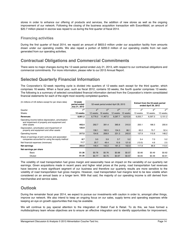stores in order to enhance our offering of products and services, the addition of new stores as well as the ongoing improvement of our network. Following the closing of the business acquisition transaction with ExxonMobil, an amount of \$20.7 million placed in escrow was repaid to us during the first quarter of fiscal 2014.

# **Financing activities**

During the first quarter of fiscal 2014, we repaid an amount of \$603.0 million under our acquisition facility from amounts drawn under our operating credits. We also repaid a portion of \$200.0 million of our operating credits from net cash generated from our operating activities.

# **Contractual Obligations and Commercial Commitments**

There were no major changes during the 12-week period ended July 21, 2013, with respect to our contractual obligations and commercial commitments. For more information, please refer to our 2013 Annual Report.

# **Selected Quarterly Financial Information**

The Corporation's 52-week reporting cycle is divided into quarters of 12 weeks each except for the third quarter, which comprises 16 weeks. When a fiscal year, such as fiscal 2012, contains 53 weeks, the fourth quarter comprises 13 weeks. The following is a summary of selected consolidated financial information derived from the Corporation's interim consolidated financial statements for each of the eight most recently completed quarters.

| (In millions of US dollars except for per share data)                                                              | 12-week<br>period ended<br>July 21, 2013 | 52-week period ended April 28, 2013 |                 |                 | Extract from the 53-week period<br>ended April 29, 2012 |                 |                 |                 |
|--------------------------------------------------------------------------------------------------------------------|------------------------------------------|-------------------------------------|-----------------|-----------------|---------------------------------------------------------|-----------------|-----------------|-----------------|
| Quarter                                                                                                            | 1 <sup>st</sup>                          | 4 <sup>th</sup>                     | 3 <sup>rd</sup> | 2 <sup>nd</sup> | $\overline{1}$ st                                       | 4 <sup>th</sup> | 3 <sup>rd</sup> | 2 <sup>nd</sup> |
| Weeks                                                                                                              | 12 weeks                                 | 12 weeks                            | 16 weeks        | 12 weeks        | 12 weeks                                                | 13 weeks        | 16 weeks        | 12 weeks        |
| Revenues                                                                                                           | 8,901.2                                  | 8,776.0                             | 11,467.0        | 9,287.7         | 6,012.6                                                 | 6,055.7         | 6,597.3         | 5,151.2         |
| Operating income before depreciation, amortization<br>and impairment of property and equipment and<br>other assets | 443.4                                    | 292.7                               | 391.4           | 365.6           | 310.0                                                   | 200.1           | 186.5           | 200.6           |
| Depreciation, amortization and impairment of<br>property and equipment and other assets                            | 125.9                                    | 138.1                               | 182.5           | 134.3           | 66.1                                                    | 62.2            | 75.7            | 52.4            |
| Operating income                                                                                                   | 317.5                                    | 154.6                               | 208.9           | 231.3           | 243.9                                                   | 137.9           | 110.8           | 148.2           |
| Share of earnings of joint ventures and associated<br>companies accounted for using the equity method              | 8.7                                      | 3.0                                 | 3.9             | 3.7             | 5.2                                                     | 3.4             | 7.0             | 5.2             |
| Net financial expenses (revenues)                                                                                  | 11.7                                     | 20.7                                | 49.4            | 15.9            | 121.8                                                   | (13.0)          | 4.6             | 2.5             |
| Net earnings                                                                                                       | 255.0                                    | 146.4                               | 142.2           | 181.3           | 102.9                                                   | 117.8           | 86.8            | 113.5           |
| Net earnings per share                                                                                             |                                          |                                     |                 |                 |                                                         |                 |                 |                 |
| Basic                                                                                                              | \$1.36                                   | \$0.78                              | \$0.76          | \$0.98          | \$0.57                                                  | \$0.66          | \$0.49          | \$0.62          |
| <b>Diluted</b>                                                                                                     | \$1.35                                   | \$0.77                              | \$0.75          | \$0.97          | \$0.57                                                  | \$0.65          | \$0.48          | \$0.61          |

The volatility of road transportation fuel gross margin and seasonality have an impact on the variability of our quarterly net earnings. Given acquisitions made in recent years and higher retail prices at the pump, road transportation fuel revenues have become a more significant segment of our business and therefore our quarterly results are more sensitive to the volatility of road transportation fuel gross margins. However, road transportation fuel margins tend to be less volatile when considered on an annual basis or a longer term. With that said, the majority of our operating income is still derived from merchandise and service sales.

# **Outlook**

During the remainder fiscal year 2014, we expect to pursue our investments with caution in order to, amongst other things, improve our network. We also intend to keep an ongoing focus on our sales, supply terms and operating expenses while keeping an eye on growth opportunities that may be available.

We will continue to pay special attention to the integration of Statoil Fuel & Retail. To do this, we have formed a multidisciplinary team whose objectives are to ensure an effective integration and to identify opportunities for improvement,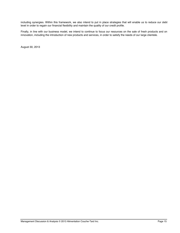including synergies. Within this framework, we also intend to put in place strategies that will enable us to reduce our debt level in order to regain our financial flexibility and maintain the quality of our credit profile.

Finally, in line with our business model, we intend to continue to focus our resources on the sale of fresh products and on innovation, including the introduction of new products and services, in order to satisfy the needs of our large clientele.

August 30, 2013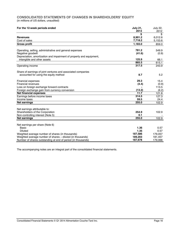# **CONSOLIDATED STATEMENTS OF CHANGES IN SHAREHOLDERS' EQUITY**

(in millions of US dollars, unaudited)

| For the 12-week periods ended                                        | <b>July 21,</b>    | <b>July 22,</b>    |
|----------------------------------------------------------------------|--------------------|--------------------|
|                                                                      | 2013               | 2012               |
|                                                                      | \$                 | \$                 |
| <b>Revenues</b><br>Cost of sales                                     | 8,901.2<br>7,718.2 | 6,012.6<br>5,153.6 |
|                                                                      |                    |                    |
| <b>Gross profit</b>                                                  | 1,183.0            | 859.0              |
| Operating, selling, administrative and general expenses              | 781.2              | 549.9              |
| Negative goodwill                                                    | (41.6)             | (0.9)              |
| Depreciation, amortization and impairment of property and equipment, |                    |                    |
| intangible and other assets                                          | 125.9              | 66.1               |
|                                                                      | 865.5              | 615.1              |
| Operating income                                                     | 317.5              | 243.9              |
| Share of earnings of joint ventures and associated companies         |                    |                    |
| accounted for using the equity method                                | 8.7                | 5.2                |
| Financial expenses                                                   | 29.3               | 15.4               |
| <b>Financial revenues</b>                                            | (4.4)              | (0.9)              |
| Loss on foreign exchange forward contracts                           |                    | 113.5              |
| Foreign exchange gain from currency conversion                       | (13.2)             | (6.2)              |
| <b>Net financial expenses</b>                                        | 11.7               | 121.8              |
| Earnings before income taxes                                         | 314.5              | 127.3              |
| Income taxes                                                         | 59.5               | 24.4               |
| Net earnings                                                         | 255.0              | 102.9              |
| Net earnings attributable to:                                        |                    |                    |
| Shareholders of the Corporation                                      | 254.9              | 102.9              |
| Non-controlling interest (Note 5)                                    | 0.1                |                    |
| <b>Net earnings</b>                                                  | 255.0              | 102.9              |
|                                                                      |                    |                    |
| Net earnings per share (Note 6)<br><b>Basic</b>                      | 1.36               | 0.57               |
| <b>Diluted</b>                                                       | 1.35               | 0.57               |
| Weighted average number of shares (in thousands)                     | 187,586            | 179,057            |
| Weighted average number of shares - diluted (in thousands)           | 189,203            | 181,457            |
| Number of shares outstanding at end of period (in thousands)         | 187,678            | 179,068            |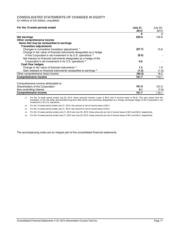## **CONSOLIDATED STATEMENTS OF CHANGES IN EQUITY**

(in millions of US dollars, unaudited)

| For the 12-week periods ended                                             | <b>July 21,</b><br>2013 | <b>July 22,</b><br>2012 |
|---------------------------------------------------------------------------|-------------------------|-------------------------|
|                                                                           | \$                      | \$                      |
| Net earnings                                                              | 255.0                   | 102.9                   |
| Other comprehensive income                                                |                         |                         |
| Items that may be reclassified to earnings                                |                         |                         |
| <b>Translation adjustments</b>                                            |                         |                         |
| Changes in cumulative translation adjustments (1)                         | (87.7)                  | 15.6                    |
| Change in fair value of financial instruments designated as a hedge       |                         |                         |
| of the Corporation's net investment in its U.S. operations <sup>(2)</sup> | (6.5)                   |                         |
| Net interest on financial instruments designated as a hedge of the        |                         |                         |
| Corporation's net investment in its U.S. operations <sup>(3)</sup>        | 0.9                     |                         |
| Cash flow hedges                                                          |                         |                         |
| Change in fair value of financial instruments (4)                         | 1.3                     | 1.9                     |
| Gain realized on financial instruments reclassified to earnings (5)       | (1.3)                   | (1.3)                   |
| Other comprehensive (loss) income                                         | (93.3)                  | 16.2                    |
| <b>Comprehensive income</b>                                               | 161.7                   | 119.1                   |
| Comprehensive income attributable to:                                     |                         |                         |
| Shareholders of the Corporation                                           | 161.6                   | 127.0                   |
| Non-controlling interest                                                  | 0.1                     | (7.9)                   |
| <b>Comprehensive income</b>                                               | 161.7                   | 119.1                   |
|                                                                           |                         |                         |

1) For the 12-week period ended July 22, 2012, these amounts include a gain of \$5.6 (net of income taxes of \$0.9). This gain arises from the<br>translation of the US dollar denominated long-term debt which was previously desi investment in its U.S. operations.

- (2) For the 12-week period ended July 21, 2013, this amount is net of income taxes of \$2.4.
- (3) For the 12-week period ended July 21, 2013, this amount is net of income taxes of \$0.2.
- (4) For the 12-week periods ended July 21, 2013 and July 22, 2012, these amounts are net of income taxes of \$0.2 and \$0.6, respectively.
- (5) For the 12-week periods ended July 21, 2013 and July 22, 2012, these amounts are net of income taxes of \$0.2 and \$0.5, respectively.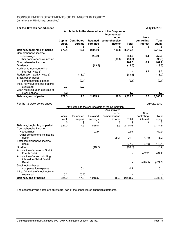# **CONSOLIDATED STATEMENTS OF CHANGES IN EQUITY**

(in millions of US dollars, unaudited)

Acquisition of control of Statoil<br>Fuel & Retail

Acquisition of non-controlling interest in Statoil Fuel &

Initial fair value of stock options

Stock option-based

| For the 12-week period ended                          |                                                     |             |                 |                                                     |              |             | July 21, 2013    |  |  |
|-------------------------------------------------------|-----------------------------------------------------|-------------|-----------------|-----------------------------------------------------|--------------|-------------|------------------|--|--|
|                                                       | Attributable to the shareholders of the Corporation |             |                 |                                                     |              |             |                  |  |  |
|                                                       |                                                     |             |                 | <b>Accumulated</b>                                  |              |             |                  |  |  |
|                                                       |                                                     |             |                 | other                                               |              | Non-        |                  |  |  |
|                                                       | Capital                                             | Contributed | <b>Retained</b> | comprehensive                                       |              | controlling | <b>Total</b>     |  |  |
|                                                       | stock                                               | surplus     | earnings        | income                                              | <b>Total</b> | interest    | equity           |  |  |
|                                                       | \$                                                  | \$          | \$              | \$                                                  | \$           | \$          | \$               |  |  |
| Balance, beginning of period                          | 670.4                                               | 16.5        | 2,344.0         | 185.8                                               | 3,216.7      |             | 3,216.7          |  |  |
| Comprehensive income:                                 |                                                     |             |                 |                                                     |              |             |                  |  |  |
| Net earnings                                          |                                                     |             | 254.9           |                                                     | 254.9        | 0.1         | 255.0            |  |  |
| Other comprehensive income                            |                                                     |             |                 | (93.3)                                              | (93.3)       |             | (93.3)           |  |  |
| Comprehensive income                                  |                                                     |             |                 |                                                     | 161.6        | 0.1         | 161.7            |  |  |
| <b>Dividends</b>                                      |                                                     |             | (13.6)          |                                                     | (13.6)       |             | (13.6)           |  |  |
| Addition to non-controlling                           |                                                     |             |                 |                                                     |              |             |                  |  |  |
| interest (Note 5)                                     |                                                     |             |                 |                                                     |              | 13.2        | 13.2             |  |  |
| Redemption liability (Note 5)                         |                                                     | (13.2)      |                 |                                                     | (13.2)       |             | (13.2)           |  |  |
| Stock option-based                                    |                                                     |             |                 |                                                     |              |             |                  |  |  |
| compensation expense                                  |                                                     | (0.1)       |                 |                                                     | (0.1)        |             | (0.1)            |  |  |
| Initial fair value of stock options                   |                                                     |             |                 |                                                     |              |             |                  |  |  |
| exercised                                             | 0.7                                                 | (0.7)       |                 |                                                     |              |             |                  |  |  |
| Cash received upon exercise of                        |                                                     |             |                 |                                                     |              |             |                  |  |  |
| stock options                                         | 1.2                                                 |             |                 |                                                     | 1.2          |             | 1.2 <sub>2</sub> |  |  |
| Balance, end of period                                | 672.3                                               | 2.5         | 2,585.3         | 92.5                                                | 3,352.6      | 13.3        | 3,365.9          |  |  |
| For the 12-week period ended                          |                                                     |             |                 |                                                     |              |             | July 22, 2012    |  |  |
|                                                       |                                                     |             |                 | Attributable to the shareholders of the Corporation |              |             |                  |  |  |
|                                                       |                                                     |             |                 | Accumulated                                         |              |             |                  |  |  |
|                                                       |                                                     |             |                 | other                                               |              | Non-        |                  |  |  |
|                                                       | Capital                                             | Contributed | Retained        | comprehensive                                       |              | controlling | Total            |  |  |
|                                                       | stock                                               | surplus     | earnings        | income                                              | Total        | interest    | equity           |  |  |
|                                                       | \$                                                  | \$          | \$              | \$                                                  | \$           | \$          | \$               |  |  |
|                                                       | 321.0                                               | 17.9        | 1,826.8         | 8.9                                                 | 2,174.6      |             | 2,174.6          |  |  |
| Balance, beginning of period<br>Comprehensive income: |                                                     |             |                 |                                                     |              |             |                  |  |  |
| Net earnings                                          |                                                     |             | 102.9           |                                                     | 102.9        |             | 102.9            |  |  |
| Other comprehensive income                            |                                                     |             |                 |                                                     |              |             |                  |  |  |
| (loss)                                                |                                                     |             |                 | 24.1                                                | 24.1         | (7.9)       | 16.2             |  |  |
| Total comprehensive income                            |                                                     |             |                 |                                                     |              |             |                  |  |  |
| (loss)                                                |                                                     |             |                 |                                                     | 127.0        | (7.9)       | 119.1            |  |  |

Dividends (13.2) (13.2) (13.2)

Fuel & Retail - 487.2 487.2

Retail - (479.3) (479.3)

compensation expense  $0.1$  0.1 0.1 0.1 0.1

exercised 0.2 (0.2) - - **Balance, end of period** 321.2 17.8 1,916.5 33.0 2,288.5 - 2,288.5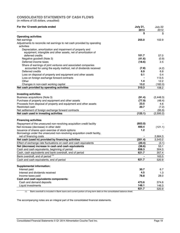# **CONSOLIDATED STATEMENTS OF CASH FLOWS**

(in millions of US dollars, unaudited)

| For the 12-week periods ended                                                         | <b>July 21,</b><br>2013 | July 22<br>2012 |
|---------------------------------------------------------------------------------------|-------------------------|-----------------|
|                                                                                       | \$                      | \$              |
| <b>Operating activities</b>                                                           |                         |                 |
| Net earnings                                                                          | 255.0                   | 102.9           |
| Adjustments to reconcile net earnings to net cash provided by operating<br>activities |                         |                 |
| Depreciation, amortization and impairment of property and                             |                         |                 |
| equipment, intangible and other assets, net of amortization of                        |                         |                 |
| deferred credits                                                                      | 101.7                   | 57.0            |
| Negative goodwill (Note 3)                                                            | (41.6)                  | (0.9)           |
| Deferred income taxes                                                                 | (18.6)                  | 2.5             |
| Share of earnings of joint ventures and associated companies                          |                         |                 |
| accounted for using the equity method, net of dividends received                      | (7.8)                   | (4.2)           |
| Deferred credits                                                                      | 6.9                     | 6.8             |
| Loss on disposal of property and equipment and other assets                           | 0.1                     | 0.4             |
| Loss on foreign exchange forward contracts                                            |                         | 113.5           |
| Other                                                                                 | 1.4                     | 12.2            |
| Changes in non-cash working capital                                                   | 13.2                    | (182.0)         |
| Net cash provided by operating activities                                             | 310.3                   | 108.2           |
| <b>Investing activities</b>                                                           |                         |                 |
| Business acquisitions (Note 3)                                                        | (91.4)                  | (2, 448.3)      |
| Purchase of property and equipment and other assets                                   | (77.9)                  |                 |
| Proceeds from disposal of property and equipment and other assets                     | 23.5                    | (48.4)<br>4.6   |
| Restricted cash                                                                       | 20.7                    | (7.2)           |
| Net settlement of foreign exchange forward contracts                                  |                         | (95.9)          |
| Net cash used in investing activities                                                 | (125.1)                 | (2,595.2)       |
|                                                                                       |                         |                 |
| <b>Financing activities</b>                                                           |                         |                 |
| Repayment of the unsecured non-revolving acquisition credit facility                  | (603.0)                 |                 |
| Net increase (decrease) in other debt                                                 | 400.4                   | (121.1)         |
| Issuance of shares upon exercise of stock-options                                     | 1.2                     |                 |
| Borrowings under the unsecured non-revolving acquisition credit facility,             |                         |                 |
| net of financing costs                                                                |                         | 2,664.3         |
| Net cash (used in) provided by financing activities                                   | (201.4)                 | 2,543.2         |
| Effect of exchange rate fluctuations on cash and cash equivalents                     | (20.4)                  | (3.1)           |
| Net (decrease) increase in cash and cash equivalents                                  | (36.6)                  | 53.1            |
| Cash and cash equivalents, beginning of period                                        | 658.3                   | 304.3           |
| Cash, cash equivalents and bank overdraft, end of period                              | 621.7                   | 357.4           |
| Bank overdraft, end of period (1)                                                     |                         | 163.5           |
| Cash and cash equivalents, end of period                                              | 621.7                   | 520.9           |
|                                                                                       |                         |                 |
| <b>Supplemental information:</b>                                                      |                         |                 |
| Interest paid                                                                         | 30.7                    | 6.7             |
| Interest and dividends received                                                       | 4.5                     | 1.3             |
| Income taxes paid                                                                     | 78.8                    | 28.0            |
| Cash and cash equivalents components:                                                 |                         |                 |
| Cash and demand deposits                                                              | 473.6                   | 374.6           |
| Liquid investments                                                                    | 148.1                   | 146.3           |
|                                                                                       | 621.7                   | 520.9           |

(1) Bank overdraft is included in Bank loans and current portion of long-term debt on the consolidated balance sheet.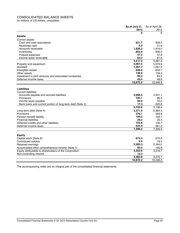# **CONSOLIDATED BALANCE SHEETS**

(in millions of US dollars, unaudited)

|                                                           | As at July 21, | As at April 28, |
|-----------------------------------------------------------|----------------|-----------------|
|                                                           | 2013           | 2013            |
|                                                           | \$             | \$              |
| <b>Assets</b>                                             |                |                 |
| <b>Current assets</b>                                     |                |                 |
| Cash and cash equivalents                                 | 621.7          | 658.3           |
| Restricted cash                                           | 0.9            | 21.6            |
| Accounts receivable                                       | 1,829.2        | 1,616.0         |
| Inventories                                               | 853.9          | 846.0           |
| Prepaid expenses                                          | 47.2           | 57.8            |
| Income taxes receivable                                   | 64.3           | 81.6            |
|                                                           | 3,417.2        | 3,281.3         |
| Property and equipment                                    | 5,067.5        | 5,079.9         |
| Goodwill                                                  | 1,067.7        | 1,081.0         |
| Intangible assets                                         | 846.4          | 834.7           |
| Other assets                                              | 136.0          | 136.3           |
| Investment in joint ventures and associated companies     | 92.0           | 84.2            |
| Deferred income taxes                                     | 45.4           | 48.8            |
|                                                           | 10,672.2       | 10,546.2        |
|                                                           |                |                 |
| <b>Liabilities</b>                                        |                |                 |
| <b>Current liabilities</b>                                |                |                 |
| Accounts payable and accrued liabilities                  | 2,569.5        | 2,351.1         |
| Provisions                                                | 105.1          | 96.5            |
| Income taxes payable                                      | 50.9           | 70.0            |
| Bank loans and current portion of long-term debt (Note 4) | 17.3           | 620.8           |
|                                                           | 2,742.8        | 3,138.4         |
| Long-term debt (Note 4)                                   | 3,371.9        | 2,984.3         |
| Provisions                                                | 376.1          | 358.8           |
| Pension benefit liability                                 | 109.2          | 109.7           |
| <b>Financial liabilities</b>                              | 29.3           | 20.4            |
| Deferred credits and other liabilities                    | 152.6          | 156.7           |
| Deferred income taxes                                     | 524.4          | 561.2           |
|                                                           | 7,306.3        | 7,329.5         |
|                                                           |                |                 |
| <b>Equity</b>                                             |                |                 |
| Capital stock (Note 8)                                    | 672.3          | 670.4           |
| Contributed surplus                                       | 2.5            | 16.5            |
| Retained earnings                                         | 2,585.3        | 2,344.0         |
| Accumulated other comprehensive income (Note 7)           | 92.5           | 185.8           |
| Equity attributable to shareholders of the Corporation    | 3,352.6        | 3,216.7         |
| Non-controlling interest                                  | 13.3           |                 |
|                                                           | 3,365.9        | 3,216.7         |
|                                                           | 10,672.2       | 10,546.2        |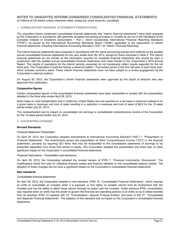## **1. CONSOLIDATED FINANCIAL STATEMENTS PRESENTATION**

The unaudited interim condensed consolidated financial statements (the "interim financial statements") have been prepared by the Corporation in accordance with generally accepted accounting principles in Canada as set out in the Handbook of the Canadian Institute of Chartered Accountants − Part I, which incorporates International Financial Reporting Standards ("IFRS"), as issued by the International Accounting Standards Board ("IASB") applicable to the preparation of interim financial statements, including International Accounting Standard ("IAS") 34 "Interim Financial Reporting".

The interim financial statements were prepared in accordance with the same accounting policies and methods as the audited annual consolidated financial statements for the year ended April 28, 2013, except for those disclosed in Note 2. The interim financial statements do not include all the information required for complete financial statements and should be read in conjunction with the audited annual consolidated financial statements and notes thereto in the Corporation's 2013 Annual Report. The results of operations for the interim periods presented do not necessarily reflect results expected for the full fiscal year. The Corporation's business follows a seasonal pattern. The busiest period is the first half-year of each fiscal year, which includes summer's sales. These interim financial statements have not been subject to a review engagement by the Corporation's external auditors.

On August 30, 2013, the Corporation's interim financial statements were approved by the board of directors who also approved their publication.

#### **Comparative figures**

Certain comparative figures of the consolidated financial statements have been reclassified to comply with the presentation adopted in the fiscal year ended April 28, 2013.

Sales taxes on road transportation fuel in California, United States are now reported on a net basis in revenues instead of on a gross basis in revenues and cost of sales resulting in a reduction in revenues and cost of sales of \$8.3 for the 12-week period ended July 22, 2012.

This reclassification had no impact on consolidated net earnings or consolidated comprehensive income of the Corporation for the 12-week period ended July 22, 2012.

#### **2. ACCOUNTING CHANGES**

#### **Revised Standards**

#### *Financial Statement Presentation*

On April 29, 2013, the Corporation adopted amendments to International Accounting Standard ("IAS") 1, "Presentation of Financial Statements". The amendments govern the presentation of Other Comprehensive Income ("OCI") in the financial statements, primarily by requiring OCI items that may be reclassified to the consolidated statements of earnings to be presented separately from those that remain in equity. The Corporation adopted this presentation and there was no other significant impact on the Corporation's consolidated financial statements.

#### *Financial Instruments – Presentation and disclosure*

On April 29, 2013, the Corporation adopted the revised version of IFRS 7, "Financial Instruments: Disclosures". The modifications clarify the rules for offsetting financial assets and financial liabilities on the consolidated balance sheets. The adoption of these changes did not have a significant impact on the Corporation's consolidated financial statements.

#### **New standards**

#### *Consolidated financial statements*

On April 29, 2013, the Corporation adopted a new standard, IFRS 10, "Consolidated Financial Statements", which requires an entity to consolidate an investee when it is exposed, or has rights, to variable returns from its involvement with the investee and has the ability to affect those returns through its power over the investee. Under previous IFRS, consolidation was required when an entity had the power to govern the financial and operating policies of an entity so as to obtain benefits from its activities. IFRS 10 replaces SIC-12, "Consolidation—Special Purpose Entities" and parts of IAS 27, "Consolidated and Separate Financial Statements". The adoption of this standard had no impact on the Corporation's consolidated financial statements.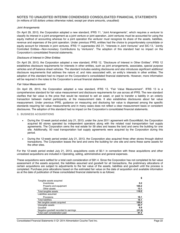#### *Joint Arrangements*

On April 29, 2013, the Corporation adopted a new standard, IFRS 11, "Joint Arrangements", which requires a venturer to classify its interest in a joint arrangement as a joint venture or joint operation. Joint ventures must be accounted for using the equity method of accounting whereas for a joint operation the venturer must recognize its share of the assets, liabilities, revenue and expenses of the joint operation. Under previous IFRS, entities had the choice to proportionately consolidate or equity account for interests in joint ventures. IFRS 11 supersedes IAS 31, "Interests in Joint Ventures" and SIC-13, "Jointly Controlled Entities—Non-monetary Contributions by Venturers". The adoption of this standard had no impact on the Corporation's consolidated financial statements.

#### *Disclosure of Interest in Other Entities*

On April 29, 2013, the Corporation adopted a new standard, IFRS 12, "Disclosure of Interest in Other Entities". IFRS 12 establishes disclosure requirements for interests in other entities, such as joint arrangements, associates, special purpose vehicles and off balance sheet vehicles. The standard includes existing disclosures and also introduces significant additional disclosure requirements that address the nature of, and risks associated with, an entity's interests in other entities. The adoption of this standard had no impact on the Corporation's consolidated financial statements. However, more information will be required in the notes to the Corporation's annual financial statements.

#### *Fair Value Measurement*

On April 29, 2013, the Corporation adopted a new standard, IFRS 13, "Fair Value Measurement". IFRS 13 is a comprehensive standard for fair value measurement and disclosure requirements for use across all IFRS. The new standard clarifies that fair value is the price that would be received to sell an asset, or paid to transfer a liability in an orderly transaction between market participants, at the measurement date. It also establishes disclosures about fair value measurement. Under previous IFRS, guidance on measuring and disclosing fair value is dispersed among the specific standards requiring fair value measurements and in many cases does not reflect a clear measurement basis or consistent disclosures. The adoption of this standard had no impact on the Corporation's consolidated financial statements.

#### **3. BUSINESS ACQUISITIONS**

- During the 12-week period ended July 21, 2013, under the June 2011 agreement with ExxonMobil, the Corporation acquired 60 stores operated by independent operators along with the related road transportation fuel supply agreements. The Corporation owns the real estate for 59 sites and leases the land and owns the building for one site. Additionally, 50 road transportation fuel supply agreements were acquired by the Corporation during this period.
- During the 12-week period ended July 21, 2013, the Corporation also acquired three other stores through distinct transactions. The Corporation leases the land and owns the building for one site and owns these same assets for the other sites.

For the 12-week period ended July 21, 2013, acquisitions costs of \$0.1 in connection with these acquisitions and other unrealized acquisitions are included in Operating, selling, administrative and general expenses.

These acquisitions were settled for a total cash consideration of \$91.4. Since the Corporation has not completed its fair value assessment of the assets acquired, the liabilities assumed and goodwill for all transactions, the preliminary allocations of certain acquisitions are subject to adjustments to the fair value of the assets, liabilities and goodwill until the process is completed. Purchase price allocations based on the estimated fair value on the date of acquisition and available information as at the date of publication of these consolidated financial statements is as follows:

|                                        | \$     |
|----------------------------------------|--------|
| Tangible assets acquired               |        |
| Inventories                            | 0.2    |
| Property and equipment                 | 105.2  |
| Other assets                           | 13.1   |
| Total tangible assets                  | 118.5  |
| Liabilities assumed                    |        |
| Provisions                             | 18.1   |
| <b>Total liabilities</b>               | 18.1   |
| Net tangible assets acquired           | 100.4  |
| Intangible assets                      | 25.7   |
| Goodwill                               | 6.9    |
| Negative goodwill recorded to earnings | (41.6) |
| Total cash consideration paid          | 91.4   |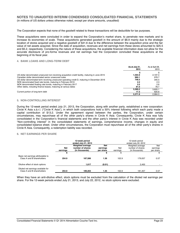The Corporation expects that none of the goodwill related to these transactions will be deductible for tax purposes.

These acquisitions were concluded in order to expand the Corporation's market share, to penetrate new markets and to increase its economies of scale. These acquisitions generated goodwill in the amount of \$6.9 mainly due to the strategic location of stores acquired and a negative goodwill of \$41.6 due to the difference between the acquisition price and the fair value of net assets acquired. Since the date of acquisition, revenues and net earnings from these stores amounted to \$25.5 and \$5.2, respectively. Considering the nature of these acquisitions, the available financial information does not allow for the accurate disclosure of pro-forma revenues and net earnings had the Corporation concluded these acquisitions at the beginning of its fiscal year.

#### **4. BANK LOANS AND LONG-TERM DEBT**

|                                                                                                  | As at July 21,<br>2013 | As at April 28,<br>2013 |
|--------------------------------------------------------------------------------------------------|------------------------|-------------------------|
|                                                                                                  |                        |                         |
| US dollar denominated unsecured non-revolving acquisition credit facility, maturing in June 2015 | 1.594.9                | 2,197.3                 |
| Canadian dollar denominated senior unsecured notes                                               | 960.1                  | 978.7                   |
| US dollar denominated term revolving unsecured operating credit D, maturing in December 2016     | 748.5                  | 345.5                   |
| NOK denominated fixed rate bonds, maturing in February 2019                                      | 2.2                    | 2.3                     |
| NOK denominated floating rate bonds, maturing in February 2017                                   | 2.5                    | 2.6                     |
| Other debts, including finance leases, maturing at various dates                                 | 81.0                   | 78.7                    |
|                                                                                                  | 3.389.2                | 3.605.1                 |
| Current portion of long-term debt                                                                | 17.3                   | 620.8                   |
|                                                                                                  | 3.371.9                | 2.984.3                 |

## **5. NON-CONTROLLING INTEREST**

During the 12-week period ended July 21, 2013, the Corporation, along with another party, established a new corporation: Circle K Asia s.à.r.l. ("Circle K Asia"), in which both corporations hold a 50% interest following which each party made a capital contribution of \$13.2. Under the agreement signed between the parties, the Corporation, under certain circumstances, may repurchase all of the other party's shares in Circle K Asia. Consequently, Circle K Asia was fully consolidated in the Corporation's financial statements and the other party's interest in Circle K Asia was recorded under "Non-controlling interest" in the consolidated statements of earnings, comprehensive income, changes in equity and consolidated balance sheet. Under other circumstances, the Corporation must repurchase all of the other party's shares in Circle K Asia. Consequently, a redemption liability was recorded.

## **6. NET EARNINGS PER SHARE**

|                                                                  |                                                                                  | 12-week period<br>ended July 21, 2013 |                                     | 12-week period<br>ended July 22, 2012 |                                                        |                              |  |
|------------------------------------------------------------------|----------------------------------------------------------------------------------|---------------------------------------|-------------------------------------|---------------------------------------|--------------------------------------------------------|------------------------------|--|
|                                                                  | Weighted average<br><b>Net</b><br>number of shares<br>(in thousands)<br>earnings |                                       | <b>Net</b><br>earnings<br>per share | Net<br>earnings                       | Weighted average<br>number of shares<br>(in thousands) | Net<br>earnings<br>per share |  |
|                                                                  |                                                                                  |                                       | a.                                  |                                       |                                                        | \$                           |  |
| Basic net earnings attributable to<br>Class A and B shareholders | 254.9                                                                            | 187.586                               | 1.36                                | 102.9                                 | 179.057                                                | 0.57                         |  |
| Dilutive effect of stock options                                 |                                                                                  | 1.617                                 | (0.01)                              |                                       | 2.400                                                  |                              |  |
| Diluted net earnings available for<br>Class A and B shareholders | 254.9                                                                            | 189.203                               | 1.35                                | 102.9                                 | 181,457                                                | 0.57                         |  |

When they have an anti-dilutive effect, stock options must be excluded from the calculation of the diluted net earnings per share. For the 12-week periods ended July 21, 2013, and July 22, 2012, no stock options were excluded.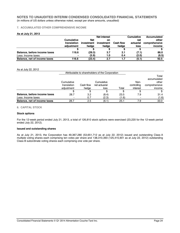## **7. ACCUMULATED OTHER COMPREHENSIVE INCOME**

## **As at July 21, 2013**

|                              |                   |            | <b>Net interest</b> |           | <b>Cumulative</b> | Accumulated   |
|------------------------------|-------------------|------------|---------------------|-----------|-------------------|---------------|
|                              | <b>Cumulative</b> | <b>Net</b> | on                  |           | net               | other         |
|                              | translation       | investment | investment          | Cash flow | actuarial         | comprehensive |
|                              | adiustment        | hedae      | hedae               | hedae     | loss              | income        |
|                              |                   |            |                     |           |                   |               |
| Balance, before income taxes | 116.6             | (29.3)     | 3.7                 | 2.1       | (7.1)             | 86.0          |
| Less: Income taxes           | $\blacksquare$    | (5.9)      | 1.0                 | 0.4       | (2.0)             | (6.5)         |
| Balance, net of income taxes | 116.6             | (23.4)     | 2.7                 | 1.7       | (5.1)             | 92.5          |

#### As at July 22, 2012

|                              |             |           |            | Total<br>accumulated |               |        |
|------------------------------|-------------|-----------|------------|----------------------|---------------|--------|
|                              | Cumulative  |           | Cumulative |                      | Non-          | other  |
|                              | translation | Cash flow |            | controlling          | comprehensive |        |
|                              | adiustment  | hedae     | loss       | Total                | interest      | income |
|                              |             |           |            |                      |               |        |
| Balance, before income taxes | 28.7        | 3.2       | (8.4)      | 23.5                 | 7.9           | 31.4   |
| Less: Income taxes           |             | 0.7       | (2.3)      | (1.6)                |               | (1.6)  |
| Balance, net of income taxes | 28.7        | $2.5\,$   | (6.1)      | 25.1                 | 7.9           | 33.0   |

#### **8. CAPITAL STOCK**

## **Stock options**

For the 12-week period ended July 21, 2013, a total of 126,810 stock options were exercised (23,220 for the 12-week period ended July 22, 2012).

#### **Issued and outstanding shares**

As at July 21, 2013, the Corporation has 49,367,280 (53,651,712 as at July 22, 2012) issued and outstanding Class A multiple voting shares each comprising ten votes per share and 138,310,393 (125,415,901 as at July 22, 2012) outstanding Class B subordinate voting shares each comprising one vote per share.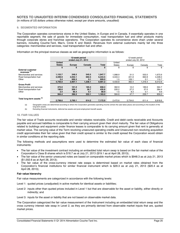## **9. SEGMENTED INFORMATION**

The Corporation operates convenience stores in the United States, in Europe and in Canada. It essentially operates in one reportable segment, the sale of goods for immediate consumption, road transportation fuel and other products mainly through corporate stores and franchise operations. The Corporation operates its convenience store chain under several banners, including Couche-Tard, Mac's, Circle K and Statoil. Revenues from external customers mainly fall into three categories: merchandise and services, road transportation fuel and other.

Information on the principal revenue classes as well as geographic information is as follows:

|                                                     |               | 12-week period<br>ended July 21, 2013 |         |              |               | 12-week period<br>ended July 22, 2012 |         |         |  |
|-----------------------------------------------------|---------------|---------------------------------------|---------|--------------|---------------|---------------------------------------|---------|---------|--|
|                                                     | <b>United</b> |                                       |         |              | United        |                                       |         |         |  |
|                                                     | <b>States</b> | <b>Europe</b>                         | Canada  | <b>Total</b> | <b>States</b> | Europe                                | Canada  | Total   |  |
|                                                     | S             |                                       |         | \$           | \$            | \$                                    | \$      | \$      |  |
| <b>External customer</b><br>revenues <sup>(a)</sup> |               |                                       |         |              |               |                                       |         |         |  |
| Merchandise and services                            | 1,153.7       | 248.5                                 | 545.5   | 1.947.7      | 1.088.9       | 31.5                                  | 553.5   | 1,673.9 |  |
| Road transportation fuel                            | 3,599.9       | 2,052.1                               | 692.5   | 6.344.5      | 3.343.4       | 221.8                                 | 662.8   | 4,228.0 |  |
| Other                                               | 2.4           | 606.5                                 | 0.1     | 609.0        | 1.5           | 109.1                                 | 0.1     | 110.7   |  |
|                                                     | 4,756.0       | 2,907.1                               | 1,238.1 | 8,901.2      | 4,433.8       | 362.4                                 | 1,216.4 | 6,012.6 |  |
| <b>Gross Profit</b>                                 |               |                                       |         |              |               |                                       |         |         |  |
| Merchandise and services                            | 372.0         | 101.0                                 | 185.3   | 658.3        | 362.9         | 12.2                                  | 189.6   | 564.7   |  |
| Road transportation fuel                            | 190.0         | 209.1                                 | 36.7    | 435.8        | 220.2         | 27.2                                  | 37.0    | 284.4   |  |
| Other                                               | 2.4           | 86.4                                  | 0.1     | 88.9         | 1.5           | 8.3                                   | 0.1     | 9.9     |  |
|                                                     | 564.4         | 396.5                                 | 222.1   | 1,183.0      | 584.6         | 47.7                                  | 226.7   | 859,0   |  |
| Total long-term assets (b)                          | 2.798.6       | 3.760.1                               | 614.2   | 7,172.9      | 2.472.6       | 3.734.6                               | 611.4   | 6.818.6 |  |

(a) Geographic areas are determined according to where the Corporation generates operating income (where the sale takes place) and according to the location of the long-term assets.

(b) Excluding financial instruments, deferred tax assets and post-employment benefit assets.

## **10. FAIR VALUES**

The fair value of Trade accounts receivable and vendor rebates receivable, Credit and debit cards receivable and Accounts payable and accrued liabilities is comparable to their carrying amount given their short maturity. The fair value of Obligations related to buildings and equipment under finance leases is comparable to its carrying amount given that rent is generally at market value. The carrying value of the Term revolving unsecured operating credits and Unsecured non-revolving acquisition credit approximates their fair value given that their credit spread is similar to the credit spread the Corporation would obtain in similar conditions at the reporting date.

The following methods and assumptions were used to determine the estimated fair value of each class of financial instruments:

- The fair value of the investment contract including an embedded total return swap is based on the fair market value of the Corporation's Class B shares which is \$18.7 as at July 21, 2013 (\$19.1 as at April 28, 2013);
- x The fair value of the senior unsecured notes are based on comparable market prices which is \$948.3 as at July 21, 2013 (\$1,002.6 as at April 28, 2013);
- The fair value of the cross-currency interest rate swaps is determined based on market rates obtained from the Corporation's financial institutions for similar financial instrument which is \$29.3 as at July 21, 2013 (\$20.4 as at April 28, 2013);

#### **Fair value hierarchy**

Fair value measurements are categorized in accordance with the following levels:

- Level 1: quoted prices (unadjusted) in active markets for identical assets or liabilities;
- Level 2: inputs other than quoted prices included in Level 1 but that are observable for the asset or liability, either directly or indirectly; and
- Level 3: inputs for the asset or liability that are not based on observable market data.

The Corporation categorized the fair value measurement of the Instrument including an embedded total return swap and the cross currency interest rate swap in Level 2, as they are primarily derived from observable market inputs that are, quoted market prices.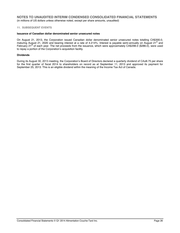## **11. SUBSEQUENT EVENTS**

## **Issuance of Canadian dollar denominated senior unsecured notes**

On August 21, 2013, the Corporation issued Canadian dollar denominated senior unsecured notes totalling CA\$300.0, maturing August 21, 2020 and bearing interest at a rate of 4.214%. Interest is payable semi-annually on August 21<sup>st</sup> and February 21<sup>st</sup> of each year. The net proceeds from the issuance, which were approximately CA\$298.0 (\$286.0), were used to repay a portion of the Corporation's acquisition facility.

#### **Dividends**

During its August 30, 2013 meeting, the Corporation's Board of Directors declared a quarterly dividend of CA¢8.75 per share for the first quarter of fiscal 2014 to shareholders on record as at September 11, 2013 and approved its payment for September 25, 2013. This is an eligible dividend within the meaning of the Income Tax Act of Canada.